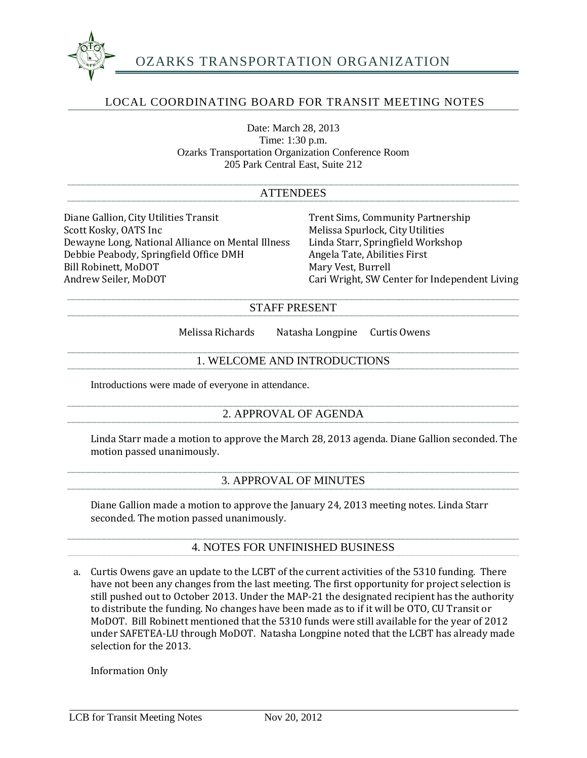

## LOCAL COORDINATING BOARD FOR TRANSIT MEETING NOTES

Date: March 28, 2013 Time: 1:30 p.m. Ozarks Transportation Organization Conference Room 205 Park Central East, Suite 212

| <b>ATTENDEES</b>                                                                                                                                                                                                     |                                                                                                                                                                                                                          |
|----------------------------------------------------------------------------------------------------------------------------------------------------------------------------------------------------------------------|--------------------------------------------------------------------------------------------------------------------------------------------------------------------------------------------------------------------------|
| Diane Gallion, City Utilities Transit<br>Scott Kosky, OATS Inc<br>Dewayne Long, National Alliance on Mental Illness<br>Debbie Peabody, Springfield Office DMH<br><b>Bill Robinett, MoDOT</b><br>Andrew Seiler, MoDOT | <b>Trent Sims, Community Partnership</b><br>Melissa Spurlock, City Utilities<br>Linda Starr, Springfield Workshop<br>Angela Tate, Abilities First<br>Mary Vest, Burrell<br>Cari Wright, SW Center for Independent Living |
| <b>STAFF PRESENT</b>                                                                                                                                                                                                 |                                                                                                                                                                                                                          |
| Melissa Richards                                                                                                                                                                                                     | Natasha Longpine<br>Curtis Owens                                                                                                                                                                                         |
| 1. WELCOME AND INTRODUCTIONS                                                                                                                                                                                         |                                                                                                                                                                                                                          |
| Introductions were made of everyone in attendance.                                                                                                                                                                   |                                                                                                                                                                                                                          |
| 2. APPROVAL OF AGENDA                                                                                                                                                                                                |                                                                                                                                                                                                                          |
| motion passed unanimously.                                                                                                                                                                                           | Linda Starr made a motion to approve the March 28, 2013 agenda. Diane Gallion seconded. The                                                                                                                              |
| <b>3. APPROVAL OF MINUTES</b>                                                                                                                                                                                        |                                                                                                                                                                                                                          |
| Diane Gallion made a motion to approve the January 24, 2013 meeting notes. Linda Starr<br>seconded. The motion passed unanimously.                                                                                   |                                                                                                                                                                                                                          |
| <b>4. NOTES FOR UNFINISHED BUSINESS</b>                                                                                                                                                                              |                                                                                                                                                                                                                          |
| a.                                                                                                                                                                                                                   | Curtis Owens gave an update to the LCBT of the current activities of the 5310 funding. There<br>have not been any changes from the last meeting. The first enpertunity for project selection is                          |

have not been any changes from the last meeting. The first opportunity for project selection is still pushed out to October 2013. Under the MAP-21 the designated recipient has the authority to distribute the funding. No changes have been made as to if it will be OTO, CU Transit or MoDOT. Bill Robinett mentioned that the 5310 funds were still available for the year of 2012 under SAFETEA-LU through MoDOT. Natasha Longpine noted that the LCBT has already made selection for the 2013.

Information Only